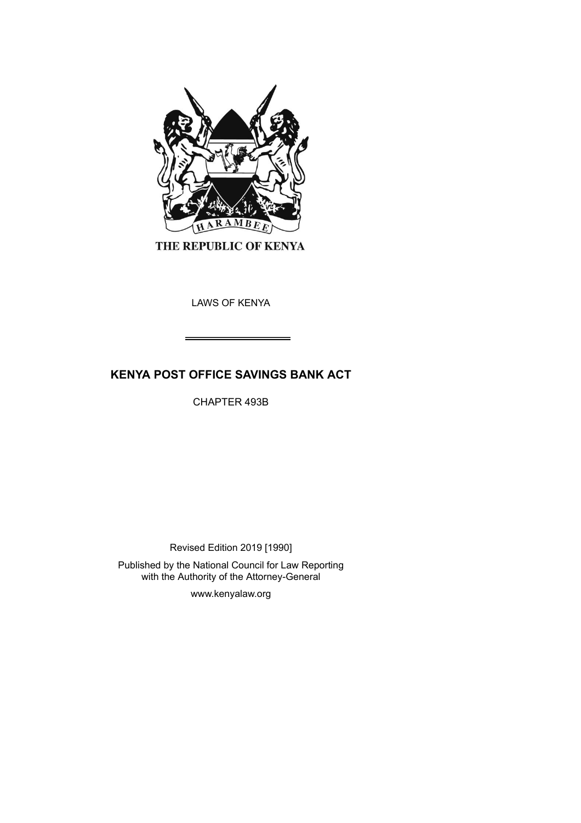

THE REPUBLIC OF KENYA

LAWS OF KENYA

# **KENYA POST OFFICE SAVINGS BANK ACT**

CHAPTER 493B

Revised Edition 2019 [1990]

Published by the National Council for Law Reporting with the Authority of the Attorney-General

www.kenyalaw.org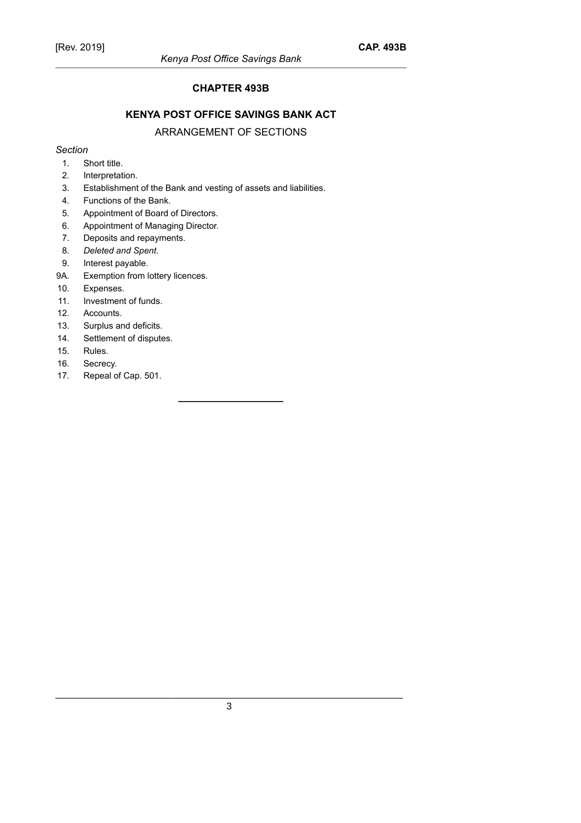#### **CHAPTER 493B**

## **KENYA POST OFFICE SAVINGS BANK ACT**

## ARRANGEMENT OF SECTIONS

#### *Section*

- 1. Short title.
- 2. Interpretation.
- 3. Establishment of the Bank and vesting of assets and liabilities.
- 4. Functions of the Bank.
- 5. Appointment of Board of Directors.
- 6. Appointment of Managing Director.
- 7. Deposits and repayments.
- 8. *Deleted and Spent.*
- 9. Interest payable.
- 9A. Exemption from lottery licences.
- 10. Expenses.
- 11. Investment of funds.
- 12. Accounts.
- 13. Surplus and deficits.
- 14. Settlement of disputes.
- 15. Rules.
- 16. Secrecy.
- 17. Repeal of Cap. 501.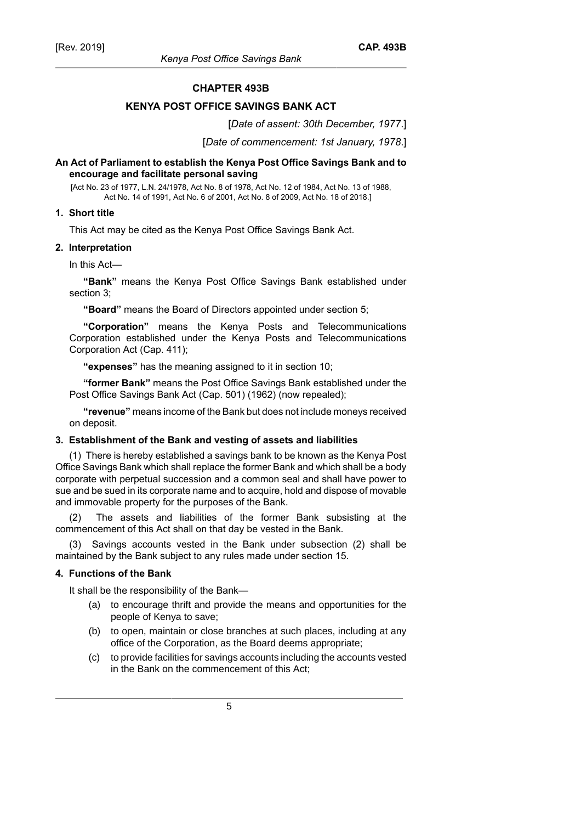#### **CHAPTER 493B**

#### **KENYA POST OFFICE SAVINGS BANK ACT**

[*Date of assent: 30th December, 1977*.]

[*Date of commencement: 1st January, 1978*.]

#### **An Act of Parliament to establish the Kenya Post Office Savings Bank and to encourage and facilitate personal saving**

[Act No. 23 of 1977, L.N. 24/1978, Act No. 8 of 1978, Act No. 12 of 1984, Act No. 13 of 1988, Act No. 14 of 1991, Act No. 6 of 2001, Act No. 8 of 2009, Act No. 18 of 2018.]

#### **1. Short title**

This Act may be cited as the Kenya Post Office Savings Bank Act.

#### **2. Interpretation**

In this Act—

**"Bank"** means the Kenya Post Office Savings Bank established under section 3;

**"Board"** means the Board of Directors appointed under section 5;

**"Corporation"** means the Kenya Posts and Telecommunications Corporation established under the Kenya Posts and Telecommunications Corporation Act (Cap. 411);

**"expenses"** has the meaning assigned to it in section 10;

**"former Bank"** means the Post Office Savings Bank established under the Post Office Savings Bank Act (Cap. 501) (1962) (now repealed);

**"revenue"** means income of the Bank but does not include moneys received on deposit.

#### **3. Establishment of the Bank and vesting of assets and liabilities**

(1) There is hereby established a savings bank to be known as the Kenya Post Office Savings Bank which shall replace the former Bank and which shall be a body corporate with perpetual succession and a common seal and shall have power to sue and be sued in its corporate name and to acquire, hold and dispose of movable and immovable property for the purposes of the Bank.

The assets and liabilities of the former Bank subsisting at the commencement of this Act shall on that day be vested in the Bank.

Savings accounts vested in the Bank under subsection (2) shall be maintained by the Bank subject to any rules made under section 15.

## **4. Functions of the Bank**

It shall be the responsibility of the Bank—

- (a) to encourage thrift and provide the means and opportunities for the people of Kenya to save;
- (b) to open, maintain or close branches at such places, including at any office of the Corporation, as the Board deems appropriate;
- (c) to provide facilities for savings accounts including the accounts vested in the Bank on the commencement of this Act;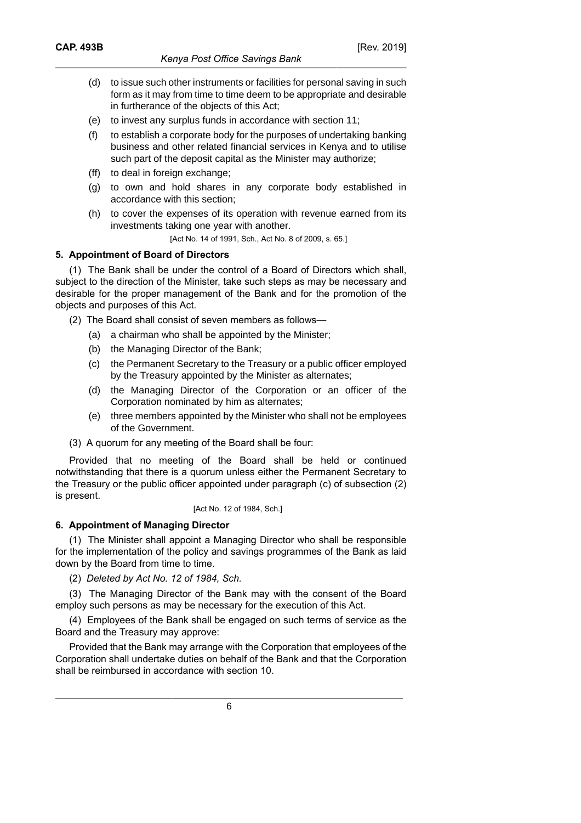- (d) to issue such other instruments or facilities for personal saving in such form as it may from time to time deem to be appropriate and desirable in furtherance of the objects of this Act;
- (e) to invest any surplus funds in accordance with section 11;
- (f) to establish a corporate body for the purposes of undertaking banking business and other related financial services in Kenya and to utilise such part of the deposit capital as the Minister may authorize;
- (ff) to deal in foreign exchange;
- (g) to own and hold shares in any corporate body established in accordance with this section;
- (h) to cover the expenses of its operation with revenue earned from its investments taking one year with another.

[Act No. 14 of 1991, Sch., Act No. 8 of 2009, s. 65.]

#### **5. Appointment of Board of Directors**

(1) The Bank shall be under the control of a Board of Directors which shall, subject to the direction of the Minister, take such steps as may be necessary and desirable for the proper management of the Bank and for the promotion of the objects and purposes of this Act.

(2) The Board shall consist of seven members as follows—

- (a) a chairman who shall be appointed by the Minister;
- (b) the Managing Director of the Bank;
- (c) the Permanent Secretary to the Treasury or a public officer employed by the Treasury appointed by the Minister as alternates;
- (d) the Managing Director of the Corporation or an officer of the Corporation nominated by him as alternates;
- (e) three members appointed by the Minister who shall not be employees of the Government.
- (3) A quorum for any meeting of the Board shall be four:

Provided that no meeting of the Board shall be held or continued notwithstanding that there is a quorum unless either the Permanent Secretary to the Treasury or the public officer appointed under paragraph (c) of subsection (2) is present.

#### [Act No. 12 of 1984, Sch.]

#### **6. Appointment of Managing Director**

(1) The Minister shall appoint a Managing Director who shall be responsible for the implementation of the policy and savings programmes of the Bank as laid down by the Board from time to time.

(2) *Deleted by Act No. 12 of 1984, Sch.*

(3) The Managing Director of the Bank may with the consent of the Board employ such persons as may be necessary for the execution of this Act.

(4) Employees of the Bank shall be engaged on such terms of service as the Board and the Treasury may approve:

Provided that the Bank may arrange with the Corporation that employees of the Corporation shall undertake duties on behalf of the Bank and that the Corporation shall be reimbursed in accordance with section 10.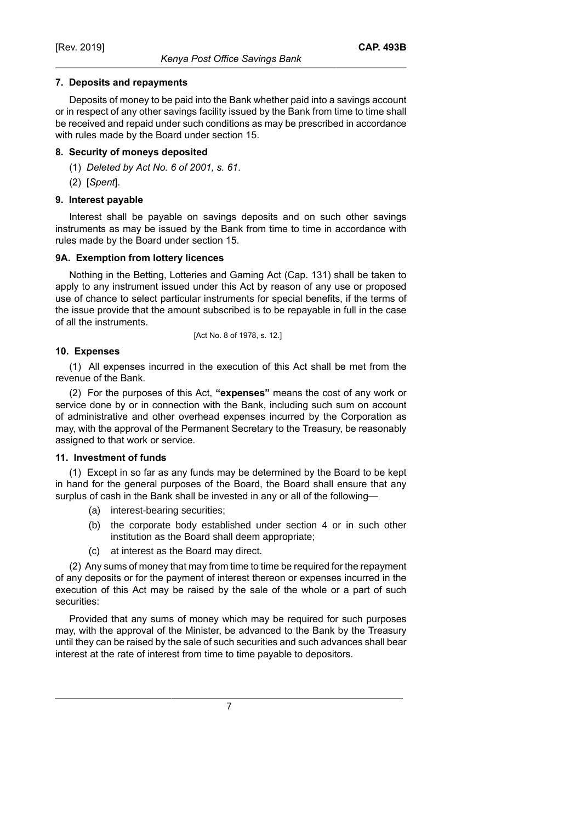## **7. Deposits and repayments**

Deposits of money to be paid into the Bank whether paid into a savings account or in respect of any other savings facility issued by the Bank from time to time shall be received and repaid under such conditions as may be prescribed in accordance with rules made by the Board under section 15.

## **8. Security of moneys deposited**

- (1) *Deleted by Act No. 6 of 2001, s. 61*.
- (2) [*Spent*].

## **9. Interest payable**

Interest shall be payable on savings deposits and on such other savings instruments as may be issued by the Bank from time to time in accordance with rules made by the Board under section 15.

## **9A. Exemption from lottery licences**

Nothing in the Betting, Lotteries and Gaming Act (Cap. 131) shall be taken to apply to any instrument issued under this Act by reason of any use or proposed use of chance to select particular instruments for special benefits, if the terms of the issue provide that the amount subscribed is to be repayable in full in the case of all the instruments.

[Act No. 8 of 1978, s. 12.]

## **10. Expenses**

(1) All expenses incurred in the execution of this Act shall be met from the revenue of the Bank.

(2) For the purposes of this Act, **"expenses"** means the cost of any work or service done by or in connection with the Bank, including such sum on account of administrative and other overhead expenses incurred by the Corporation as may, with the approval of the Permanent Secretary to the Treasury, be reasonably assigned to that work or service.

## **11. Investment of funds**

(1) Except in so far as any funds may be determined by the Board to be kept in hand for the general purposes of the Board, the Board shall ensure that any surplus of cash in the Bank shall be invested in any or all of the following—

- (a) interest-bearing securities;
- (b) the corporate body established under section 4 or in such other institution as the Board shall deem appropriate;
- (c) at interest as the Board may direct.

(2) Any sums of money that may from time to time be required for the repayment of any deposits or for the payment of interest thereon or expenses incurred in the execution of this Act may be raised by the sale of the whole or a part of such securities:

Provided that any sums of money which may be required for such purposes may, with the approval of the Minister, be advanced to the Bank by the Treasury until they can be raised by the sale of such securities and such advances shall bear interest at the rate of interest from time to time payable to depositors.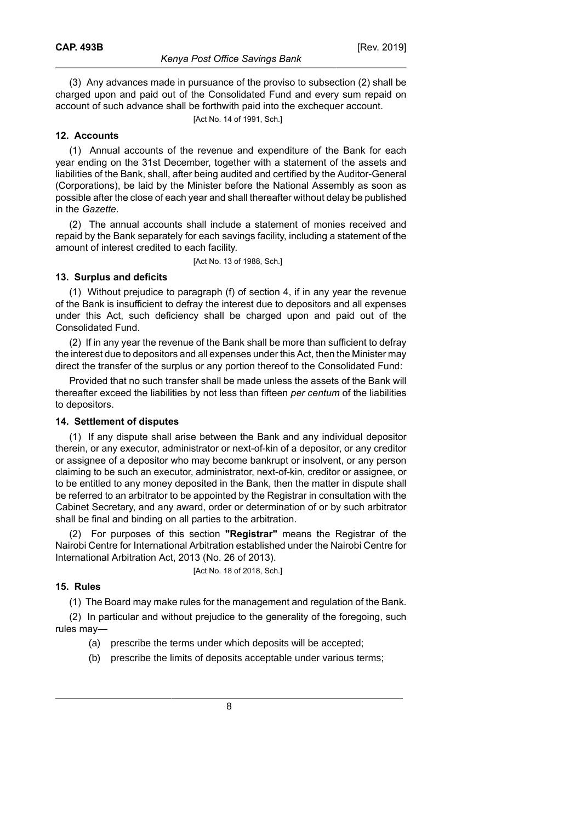(3) Any advances made in pursuance of the proviso to subsection (2) shall be charged upon and paid out of the Consolidated Fund and every sum repaid on account of such advance shall be forthwith paid into the exchequer account.

[Act No. 14 of 1991, Sch.]

#### **12. Accounts**

(1) Annual accounts of the revenue and expenditure of the Bank for each year ending on the 31st December, together with a statement of the assets and liabilities of the Bank, shall, after being audited and certified by the Auditor-General (Corporations), be laid by the Minister before the National Assembly as soon as possible after the close of each year and shall thereafter without delay be published in the *Gazette*.

(2) The annual accounts shall include a statement of monies received and repaid by the Bank separately for each savings facility, including a statement of the amount of interest credited to each facility.

[Act No. 13 of 1988, Sch.]

## **13. Surplus and deficits**

(1) Without prejudice to paragraph (f) of section 4, if in any year the revenue of the Bank is insufficient to defray the interest due to depositors and all expenses under this Act, such deficiency shall be charged upon and paid out of the Consolidated Fund.

(2) If in any year the revenue of the Bank shall be more than sufficient to defray the interest due to depositors and all expenses under this Act, then the Minister may direct the transfer of the surplus or any portion thereof to the Consolidated Fund:

Provided that no such transfer shall be made unless the assets of the Bank will thereafter exceed the liabilities by not less than fifteen *per centum* of the liabilities to depositors.

#### **14. Settlement of disputes**

(1) If any dispute shall arise between the Bank and any individual depositor therein, or any executor, administrator or next-of-kin of a depositor, or any creditor or assignee of a depositor who may become bankrupt or insolvent, or any person claiming to be such an executor, administrator, next-of-kin, creditor or assignee, or to be entitled to any money deposited in the Bank, then the matter in dispute shall be referred to an arbitrator to be appointed by the Registrar in consultation with the Cabinet Secretary, and any award, order or determination of or by such arbitrator shall be final and binding on all parties to the arbitration.

(2) For purposes of this section **"Registrar"** means the Registrar of the Nairobi Centre for International Arbitration established under the Nairobi Centre for International Arbitration Act, 2013 (No. 26 of 2013).

[Act No. 18 of 2018, Sch.]

#### **15. Rules**

(1) The Board may make rules for the management and regulation of the Bank.

(2) In particular and without prejudice to the generality of the foregoing, such rules may—

- (a) prescribe the terms under which deposits will be accepted;
- (b) prescribe the limits of deposits acceptable under various terms;